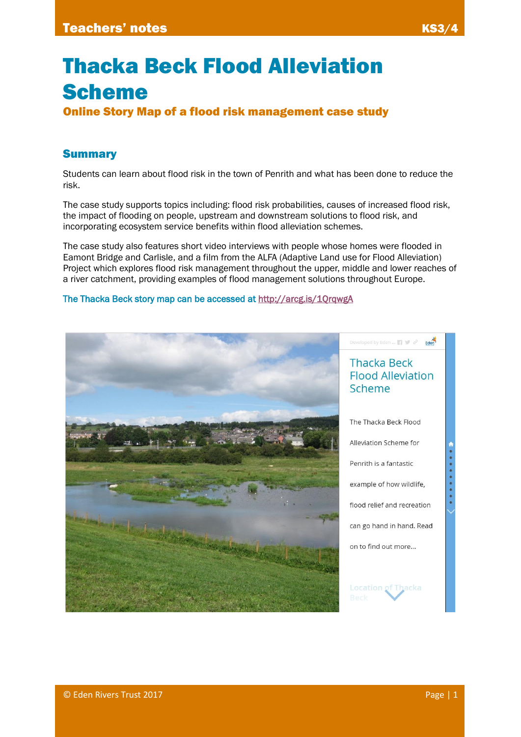# Thacka Beck Flood Alleviation Scheme

Online Story Map of a flood risk management case study

# Summary

Students can learn about flood risk in the town of Penrith and what has been done to reduce the risk.

The case study supports topics including: flood risk probabilities, causes of increased flood risk, the impact of flooding on people, upstream and downstream solutions to flood risk, and incorporating ecosystem service benefits within flood alleviation schemes.

The case study also features short video interviews with people whose homes were flooded in Eamont Bridge and Carlisle, and a film from the ALFA (Adaptive Land use for Flood Alleviation) Project which explores flood risk management throughout the upper, middle and lower reaches of a river catchment, providing examples of flood management solutions throughout Europe.

#### The Thacka Beck story map can be accessed at<http://arcg.is/1QrqwgA>

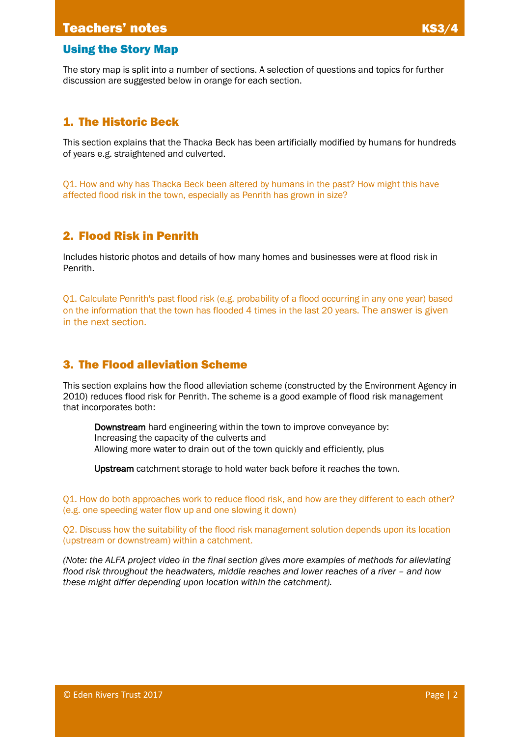## Using the Story Map

The story map is split into a number of sections. A selection of questions and topics for further discussion are suggested below in orange for each section.

## 1. The Historic Beck

This section explains that the Thacka Beck has been artificially modified by humans for hundreds of years e.g. straightened and culverted.

Q1. How and why has Thacka Beck been altered by humans in the past? How might this have affected flood risk in the town, especially as Penrith has grown in size?

## 2. Flood Risk in Penrith

Includes historic photos and details of how many homes and businesses were at flood risk in Penrith.

Q1. Calculate Penrith's past flood risk (e.g. probability of a flood occurring in any one year) based on the information that the town has flooded 4 times in the last 20 years. The answer is given in the next section.

## 3. The Flood alleviation Scheme

This section explains how the flood alleviation scheme (constructed by the Environment Agency in 2010) reduces flood risk for Penrith. The scheme is a good example of flood risk management that incorporates both:

Downstream hard engineering within the town to improve conveyance by: Increasing the capacity of the culverts and Allowing more water to drain out of the town quickly and efficiently, plus

Upstream catchment storage to hold water back before it reaches the town.

Q1. How do both approaches work to reduce flood risk, and how are they different to each other? (e.g. one speeding water flow up and one slowing it down)

Q2. Discuss how the suitability of the flood risk management solution depends upon its location (upstream or downstream) within a catchment.

*(Note: the ALFA project video in the final section gives more examples of methods for alleviating flood risk throughout the headwaters, middle reaches and lower reaches of a river – and how these might differ depending upon location within the catchment).*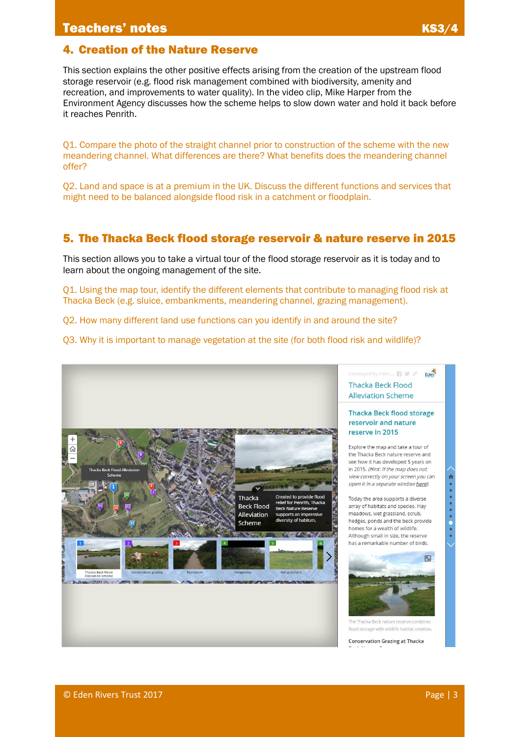# 4. Creation of the Nature Reserve

This section explains the other positive effects arising from the creation of the upstream flood storage reservoir (e.g. flood risk management combined with biodiversity, amenity and recreation, and improvements to water quality). In the video clip, Mike Harper from the Environment Agency discusses how the scheme helps to slow down water and hold it back before it reaches Penrith.

Q1. Compare the photo of the straight channel prior to construction of the scheme with the new meandering channel. What differences are there? What benefits does the meandering channel offer?

Q2. Land and space is at a premium in the UK. Discuss the different functions and services that might need to be balanced alongside flood risk in a catchment or floodplain.

## 5. The Thacka Beck flood storage reservoir & nature reserve in 2015

This section allows you to take a virtual tour of the flood storage reservoir as it is today and to learn about the ongoing management of the site.

Q1. Using the map tour, identify the different elements that contribute to managing flood risk at Thacka Beck (e.g. sluice, embankments, meandering channel, grazing management).

Q2. How many different land use functions can you identify in and around the site?

Q3. Why it is important to manage vegetation at the site (for both flood risk and wildlife)?

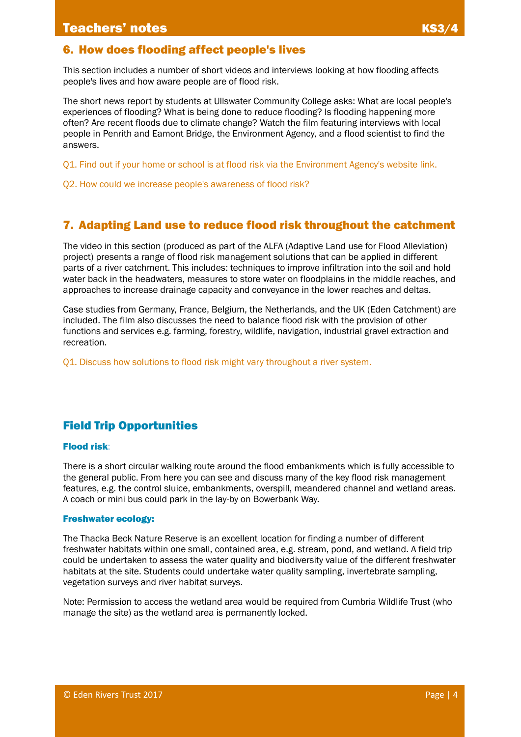## 6. How does flooding affect people's lives

This section includes a number of short videos and interviews looking at how flooding affects people's lives and how aware people are of flood risk.

The short news report by students at Ullswater Community College asks: What are local people's experiences of flooding? What is being done to reduce flooding? Is flooding happening more often? Are recent floods due to climate change? Watch the film featuring interviews with local people in Penrith and Eamont Bridge, the Environment Agency, and a flood scientist to find the answers.

Q1. Find out if your home or school is at flood risk via the Environment Agency's website link.

Q2. How could we increase people's awareness of flood risk?

## 7. Adapting Land use to reduce flood risk throughout the catchment

The video in this section (produced as part of the ALFA (Adaptive Land use for Flood Alleviation) project) presents a range of flood risk management solutions that can be applied in different parts of a river catchment. This includes: techniques to improve infiltration into the soil and hold water back in the headwaters, measures to store water on floodplains in the middle reaches, and approaches to increase drainage capacity and conveyance in the lower reaches and deltas.

Case studies from Germany, France, Belgium, the Netherlands, and the UK (Eden Catchment) are included. The film also discusses the need to balance flood risk with the provision of other functions and services e.g. farming, forestry, wildlife, navigation, industrial gravel extraction and recreation.

Q1. Discuss how solutions to flood risk might vary throughout a river system.

# Field Trip Opportunities

#### Flood risk:

There is a short circular walking route around the flood embankments which is fully accessible to the general public. From here you can see and discuss many of the key flood risk management features, e.g. the control sluice, embankments, overspill, meandered channel and wetland areas. A coach or mini bus could park in the lay-by on Bowerbank Way.

#### Freshwater ecology:

The Thacka Beck Nature Reserve is an excellent location for finding a number of different freshwater habitats within one small, contained area, e.g. stream, pond, and wetland. A field trip could be undertaken to assess the water quality and biodiversity value of the different freshwater habitats at the site. Students could undertake water quality sampling, invertebrate sampling, vegetation surveys and river habitat surveys.

Note: Permission to access the wetland area would be required from Cumbria Wildlife Trust (who manage the site) as the wetland area is permanently locked.